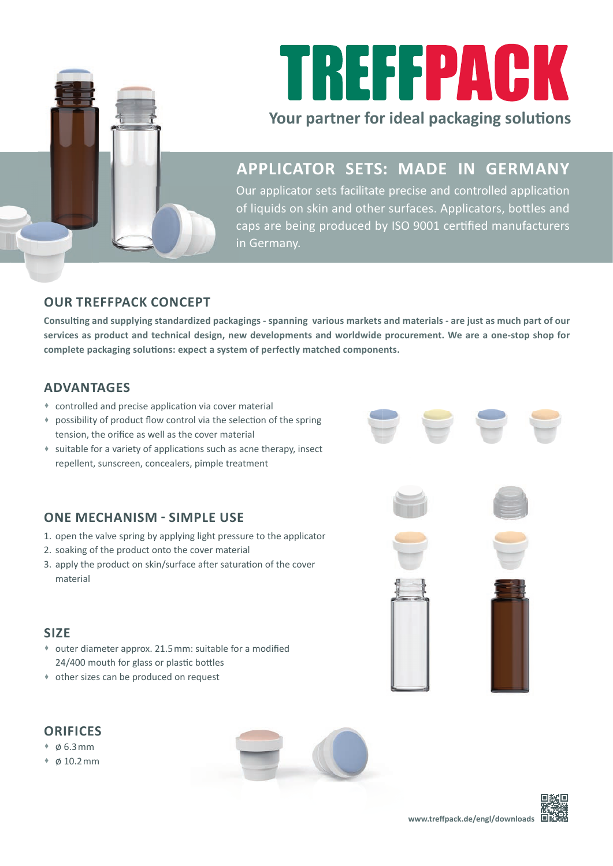

# TREFFPACK

#### **Your partner for ideal packaging solutions**

### **APPLICATOR SETS: MADE IN GERMANY**

Our applicator sets facilitate precise and controlled application of liquids on skin and other surfaces. Applicators, bottles and caps are being produced by ISO 9001 certified manufacturers in Germany.

#### **OUR TREFFPACK CONCEPT**

Consulting and supplying standardized packagings - spanning various markets and materials - are just as much part of our **services as product and technical design, new developments and worldwide procurement. We are a one-stop shop for**  complete packaging solutions: expect a system of perfectly matched components.

#### **ADVANTAGES**

- $*$  controlled and precise application via cover material
- possibility of product flow control via the selection of the spring tension, the orifice as well as the cover material
- \* suitable for a variety of applications such as acne therapy, insect repellent, sunscreen, concealers, pimple treatment

#### **ONE MECHANISM - SIMPLE USE**

- 1. open the valve spring by applying light pressure to the applicator
- 2. soaking of the product onto the cover material
- 3. apply the product on skin/surface after saturation of the cover material

#### **SIZE**

- \* outer diameter approx. 21.5 mm: suitable for a modified 24/400 mouth for glass or plastic bottles
- other sizes can be produced on request

#### **ORIFICES**

- $\bullet$   $\phi$  6.3 mm
- $\bullet$  0.10.2 mm













| a n |  |  |  |  |  |  |
|-----|--|--|--|--|--|--|
|     |  |  |  |  |  |  |
|     |  |  |  |  |  |  |
|     |  |  |  |  |  |  |
|     |  |  |  |  |  |  |
|     |  |  |  |  |  |  |
|     |  |  |  |  |  |  |
|     |  |  |  |  |  |  |